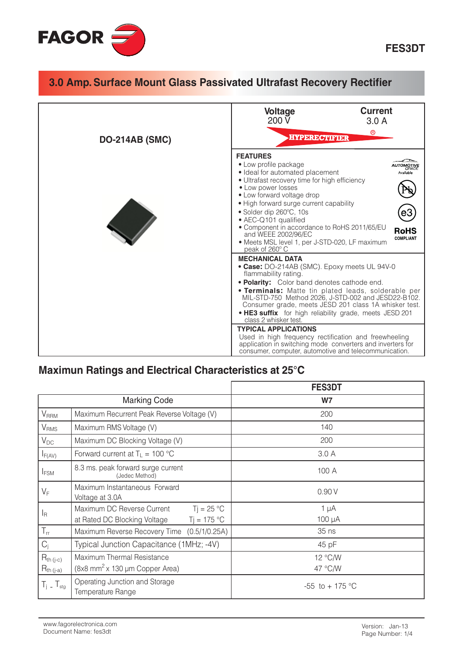

| <b>DO-214AB (SMC)</b> | <b>Current</b><br><b>Voltage</b><br>200 V<br>3.0A<br>$^{\circledR}$<br><b>HYPERECTIFIER</b>                                                                                                                                                                                                                                                                                                                                                                                                                                                                                                                                    |  |  |
|-----------------------|--------------------------------------------------------------------------------------------------------------------------------------------------------------------------------------------------------------------------------------------------------------------------------------------------------------------------------------------------------------------------------------------------------------------------------------------------------------------------------------------------------------------------------------------------------------------------------------------------------------------------------|--|--|
|                       | <b>FEATURES</b><br>• Low profile package<br>· Ideal for automated placement<br>Available<br>· Ultrafast recovery time for high efficiency<br>• Low power losses<br>• Low forward voltage drop<br>· High forward surge current capability<br>• Solder dip 260°C, 10s<br>• AEC-Q101 qualified<br>• Component in accordance to RoHS 2011/65/EU<br><b>RoHS</b><br>and WEEE 2002/96/EC<br><b>COMPLIANT</b><br>• Meets MSL level 1, per J-STD-020, LF maximum<br>peak of 260° C                                                                                                                                                      |  |  |
|                       | <b>MECHANICAL DATA</b><br>• Case: DO-214AB (SMC). Epoxy meets UL 94V-0<br>flammability rating.<br>• Polarity: Color band denotes cathode end.<br><b>• Terminals:</b> Matte tin plated leads, solderable per<br>MIL-STD-750 Method 2026, J-STD-002 and JESD22-B102.<br>Consumer grade, meets JESD 201 class 1A whisker test.<br>• HE3 suffix for high reliability grade, meets JESD 201<br>class 2 whisker test.<br><b>TYPICAL APPLICATIONS</b><br>Used in high frequency rectification and freewheeling<br>application in switching mode converters and inverters for<br>consumer, computer, automotive and telecommunication. |  |  |

#### Maximun Ratings and Electrical Characteristics at 25°C

|                                  |                                                                                              | <b>FES3DT</b>       |
|----------------------------------|----------------------------------------------------------------------------------------------|---------------------|
|                                  | <b>Marking Code</b>                                                                          | W7                  |
| <b>V<sub>RRM</sub></b>           | Maximum Recurrent Peak Reverse Voltage (V)                                                   | 200                 |
| $\mathsf{V}_{\mathsf{RMS}}$      | Maximum RMS Voltage (V)                                                                      | 140                 |
| $V_{DC}$                         | Maximum DC Blocking Voltage (V)                                                              | 200                 |
| $I_{F(AV)}$                      | Forward current at $T_{\perp}$ = 100 °C                                                      | 3.0A                |
| <b>IFSM</b>                      | 8.3 ms. peak forward surge current<br>(Jedec Method)                                         | 100 A               |
| $V_F$                            | Maximum Instantaneous Forward<br>Voltage at 3.0A                                             | 0.90V               |
| $I_{\mathsf{R}}$                 | $Ti = 25 °C$<br>Maximum DC Reverse Current<br>$T_1 = 175 °C$<br>at Rated DC Blocking Voltage | $1 \mu A$<br>100 µA |
| $T_{rr}$                         | Maximum Reverse Recovery Time (0.5/1/0.25A)                                                  | 35 ns               |
| $C_i$                            | Typical Junction Capacitance (1MHz; -4V)                                                     | 45 pF               |
| $R_{th (j-c)}$<br>$R_{th (j-a)}$ | Maximum Thermal Resistance<br>$(8x8$ mm <sup>2</sup> x 130 µm Copper Area)                   | 12 °C/W<br>47 °C/W  |
| $T_i$ – $T_{\text{stg}}$         | Operating Junction and Storage<br>Temperature Range                                          | -55 to + 175 °C     |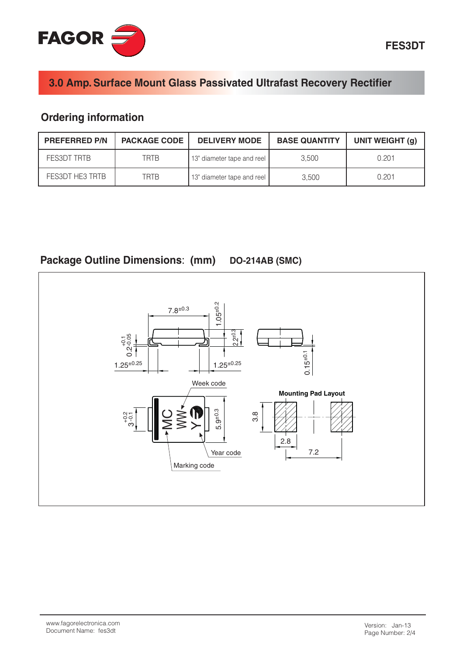

#### **Ordering information**

| <b>PREFERRED P/N</b> | <b>PACKAGE CODE</b> | <b>DELIVERY MODE</b>       | <b>BASE QUANTITY</b> | UNIT WEIGHT (g) |
|----------------------|---------------------|----------------------------|----------------------|-----------------|
| FES3DT TRTB          | TRTB                | 13" diameter tape and reel | 3.500                | 0.201           |
| FES3DT HE3 TRTB      | TRTR                | 13" diameter tape and reel | 3.500                | 0.201           |



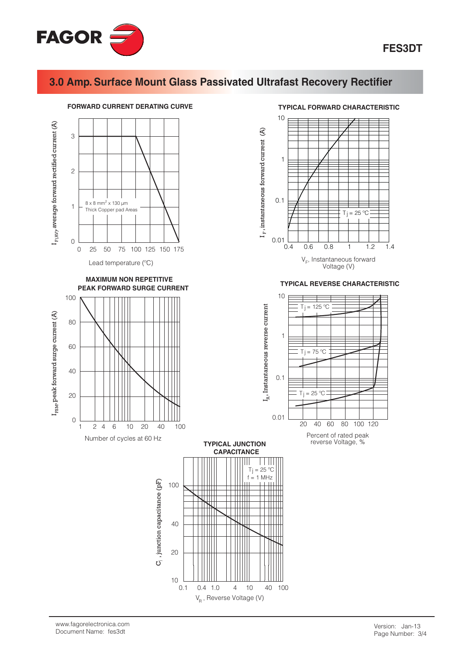



V<sub>R</sub>, Reverse Voltage (V)

#### **TYPICAL FORWARD CHARACTERISTIC**

 $T_{1} = 25$  $^{\circ}$ C

 $\mathbf{1}$ 

 $1.2$ 

 $1.4$ 

**TYPICAL REVERSE CHARACTERISTIC**  $= 125 °C$  $T_i = 75 °C$  $= 25$ °C Ti  $20$  $40<sup>1</sup>$ 60  $80<sup>°</sup>$ 100 120 Percent of rated peak reverse Voltage, %

 $0.6$ 

 $0.8$ 

 $V_F$ , Instantaneous forward

Voltage (V)